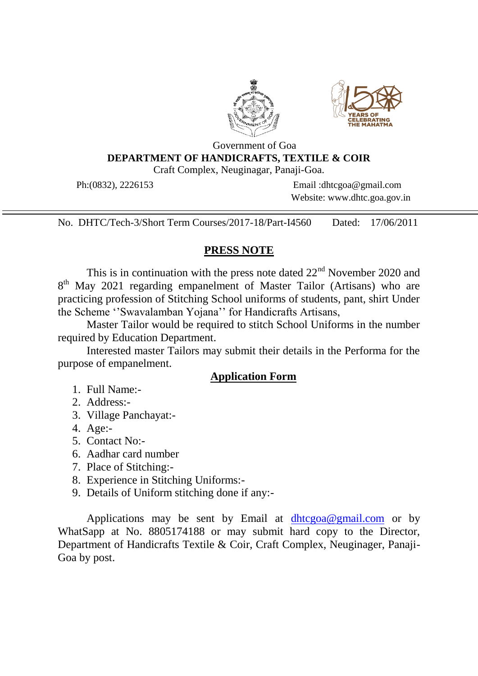



## Government of Goa **DEPARTMENT OF HANDICRAFTS, TEXTILE & COIR** Craft Complex, Neuginagar, Panaji-Goa.

Ph:(0832), 2226153 Email :dhtcgoa@gmail.com Website: www.dhtc.goa.gov.in

No. DHTC/Tech-3/Short Term Courses/2017-18/Part-I4560 Dated: 17/06/2011

## **PRESS NOTE**

This is in continuation with the press note dated  $22<sup>nd</sup>$  November 2020 and 8<sup>th</sup> May 2021 regarding empanelment of Master Tailor (Artisans) who are practicing profession of Stitching School uniforms of students, pant, shirt Under the Scheme ''Swavalamban Yojana'' for Handicrafts Artisans,

Master Tailor would be required to stitch School Uniforms in the number required by Education Department.

Interested master Tailors may submit their details in the Performa for the purpose of empanelment.

## **Application Form**

- 1. Full Name:-
- 2. Address:-
- 3. Village Panchayat:-
- 4. Age:-
- 5. Contact No:-
- 6. Aadhar card number
- 7. Place of Stitching:-
- 8. Experience in Stitching Uniforms:-
- 9. Details of Uniform stitching done if any:-

Applications may be sent by Email at [dhtcgoa@gmail.com](mailto:dhtcgoa@gmail.com) or by WhatSapp at No. 8805174188 or may submit hard copy to the Director, Department of Handicrafts Textile & Coir, Craft Complex, Neuginager, Panaji-Goa by post.